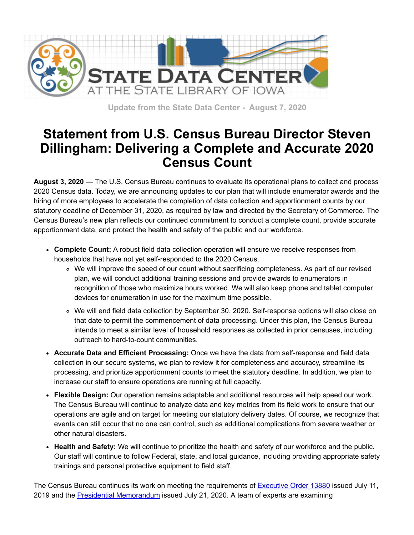

**Update from the State Data Center - August 7, 2020**

## **Statement from U.S. Census Bureau Director Steven Dillingham: Delivering a Complete and Accurate 2020 Census Count**

**August 3, 2020** — The U.S. Census Bureau continues to evaluate its operational plans to collect and process 2020 Census data. Today, we are announcing updates to our plan that will include enumerator awards and the hiring of more employees to accelerate the completion of data collection and apportionment counts by our statutory deadline of December 31, 2020, as required by law and directed by the Secretary of Commerce. The Census Bureau's new plan reflects our continued commitment to conduct a complete count, provide accurate apportionment data, and protect the health and safety of the public and our workforce.

- **Complete Count:** A robust field data collection operation will ensure we receive responses from households that have not yet self-responded to the 2020 Census.
	- We will improve the speed of our count without sacrificing completeness. As part of our revised plan, we will conduct additional training sessions and provide awards to enumerators in recognition of those who maximize hours worked. We will also keep phone and tablet computer devices for enumeration in use for the maximum time possible.
	- We will end field data collection by September 30, 2020. Self-response options will also close on that date to permit the commencement of data processing. Under this plan, the Census Bureau intends to meet a similar level of household responses as collected in prior censuses, including outreach to hard-to-count communities.
- **Accurate Data and Efficient Processing:** Once we have the data from self-response and field data collection in our secure systems, we plan to review it for completeness and accuracy, streamline its processing, and prioritize apportionment counts to meet the statutory deadline. In addition, we plan to increase our staff to ensure operations are running at full capacity.
- **Flexible Design:** Our operation remains adaptable and additional resources will help speed our work. The Census Bureau will continue to analyze data and key metrics from its field work to ensure that our operations are agile and on target for meeting our statutory delivery dates. Of course, we recognize that events can still occur that no one can control, such as additional complications from severe weather or other natural disasters.
- **Health and Safety:** We will continue to prioritize the health and safety of our workforce and the public. Our staff will continue to follow Federal, state, and local guidance, including providing appropriate safety trainings and personal protective equipment to field staff.

The Census Bureau continues its work on meeting the requirements of **[Executive Order 13880](https://lnks.gd/l/eyJhbGciOiJIUzI1NiJ9.eyJidWxsZXRpbl9saW5rX2lkIjoxMDIsInVyaSI6ImJwMjpjbGljayIsImJ1bGxldGluX2lkIjoiMjAyMDA4MDQuMjUyMzYwNTEiLCJ1cmwiOiJodHRwczovL3d3dy53aGl0ZWhvdXNlLmdvdi9wcmVzaWRlbnRpYWwtYWN0aW9ucy9leGVjdXRpdmUtb3JkZXItY29sbGVjdGluZy1pbmZvcm1hdGlvbi1jaXRpemVuc2hpcC1zdGF0dXMtY29ubmVjdGlvbi1kZWNlbm5pYWwtY2Vuc3VzLz91dG1fY2FtcGFpZ249MjAyMDA4MDNtc2MyMHMxY2Nud3NycyZ1dG1fY29udGVudD0mdXRtX21lZGl1bT1lbWFpbCZ1dG1fc291cmNlPWdvdmRlbGl2ZXJ5In0.Yn4qscr__lt6jgVaXoH_Hw_ASXSMwt2ufAbXi2bYll4/s/1170339005/br/81850042194-l?utm_medium=email&utm_source=govdelivery)** issued July 11, 2019 and the [Presidential Memorandum](https://lnks.gd/l/eyJhbGciOiJIUzI1NiJ9.eyJidWxsZXRpbl9saW5rX2lkIjoxMDMsInVyaSI6ImJwMjpjbGljayIsImJ1bGxldGluX2lkIjoiMjAyMDA4MDQuMjUyMzYwNTEiLCJ1cmwiOiJodHRwczovL3d3dy53aGl0ZWhvdXNlLmdvdi9wcmVzaWRlbnRpYWwtYWN0aW9ucy9tZW1vcmFuZHVtLWV4Y2x1ZGluZy1pbGxlZ2FsLWFsaWVucy1hcHBvcnRpb25tZW50LWJhc2UtZm9sbG93aW5nLTIwMjAtY2Vuc3VzLz91dG1fY2FtcGFpZ249MjAyMDA4MDNtc2MyMHMxY2Nud3NycyZ1dG1fY29udGVudD0mdXRtX21lZGl1bT1lbWFpbCZ1dG1fc291cmNlPWdvdmRlbGl2ZXJ5In0.QdVFhIz6GHT8D85wWQ7OaJ-B1BnZb-WULTdWj9nsIUo/s/1170339005/br/81850042194-l?utm_medium=email&utm_source=govdelivery) issued July 21, 2020. A team of experts are examining